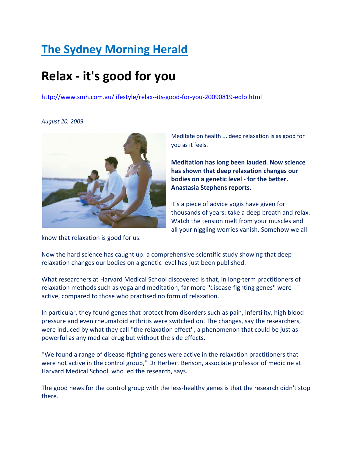## The Sydney Morning Herald

# Relax - it's good for you

http://www.smh.com.au/lifestyle/relax--its-good-for-you-20090819-eqlo.html

August 20, 2009



know that relaxation is good for us.

Meditate on health ... deep relaxation is as good for you as it feels.

Meditation has long been lauded. Now science has shown that deep relaxation changes our bodies on a genetic level - for the better. Anastasia Stephens reports.

It's a piece of advice yogis have given for thousands of years: take a deep breath and relax. Watch the tension melt from your muscles and all your niggling worries vanish. Somehow we all

Now the hard science has caught up: a comprehensive scientific study showing that deep relaxation changes our bodies on a genetic level has just been published.

What researchers at Harvard Medical School discovered is that, in long-term practitioners of relaxation methods such as yoga and meditation, far more ''disease-fighting genes'' were active, compared to those who practised no form of relaxation.

In particular, they found genes that protect from disorders such as pain, infertility, high blood pressure and even rheumatoid arthritis were switched on. The changes, say the researchers, were induced by what they call ''the relaxation effect'', a phenomenon that could be just as powerful as any medical drug but without the side effects.

''We found a range of disease-fighting genes were active in the relaxation practitioners that were not active in the control group,'' Dr Herbert Benson, associate professor of medicine at Harvard Medical School, who led the research, says.

The good news for the control group with the less-healthy genes is that the research didn't stop there.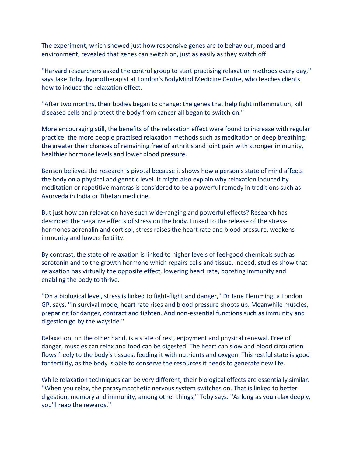The experiment, which showed just how responsive genes are to behaviour, mood and environment, revealed that genes can switch on, just as easily as they switch off.

''Harvard researchers asked the control group to start practising relaxation methods every day,'' says Jake Toby, hypnotherapist at London's BodyMind Medicine Centre, who teaches clients how to induce the relaxation effect.

''After two months, their bodies began to change: the genes that help fight inflammation, kill diseased cells and protect the body from cancer all began to switch on.''

More encouraging still, the benefits of the relaxation effect were found to increase with regular practice: the more people practised relaxation methods such as meditation or deep breathing, the greater their chances of remaining free of arthritis and joint pain with stronger immunity, healthier hormone levels and lower blood pressure.

Benson believes the research is pivotal because it shows how a person's state of mind affects the body on a physical and genetic level. It might also explain why relaxation induced by meditation or repetitive mantras is considered to be a powerful remedy in traditions such as Ayurveda in India or Tibetan medicine.

But just how can relaxation have such wide-ranging and powerful effects? Research has described the negative effects of stress on the body. Linked to the release of the stresshormones adrenalin and cortisol, stress raises the heart rate and blood pressure, weakens immunity and lowers fertility.

By contrast, the state of relaxation is linked to higher levels of feel-good chemicals such as serotonin and to the growth hormone which repairs cells and tissue. Indeed, studies show that relaxation has virtually the opposite effect, lowering heart rate, boosting immunity and enabling the body to thrive.

''On a biological level, stress is linked to fight-flight and danger,'' Dr Jane Flemming, a London GP, says. ''In survival mode, heart rate rises and blood pressure shoots up. Meanwhile muscles, preparing for danger, contract and tighten. And non-essential functions such as immunity and digestion go by the wayside.''

Relaxation, on the other hand, is a state of rest, enjoyment and physical renewal. Free of danger, muscles can relax and food can be digested. The heart can slow and blood circulation flows freely to the body's tissues, feeding it with nutrients and oxygen. This restful state is good for fertility, as the body is able to conserve the resources it needs to generate new life.

While relaxation techniques can be very different, their biological effects are essentially similar. ''When you relax, the parasympathetic nervous system switches on. That is linked to better digestion, memory and immunity, among other things,'' Toby says. ''As long as you relax deeply, you'll reap the rewards.''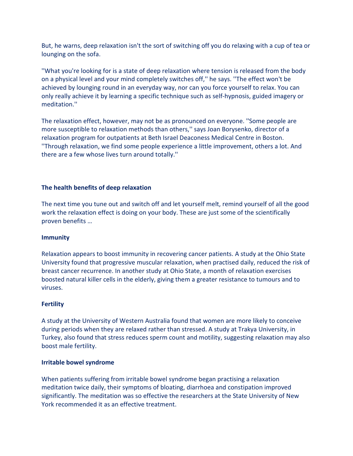But, he warns, deep relaxation isn't the sort of switching off you do relaxing with a cup of tea or lounging on the sofa.

''What you're looking for is a state of deep relaxation where tension is released from the body on a physical level and your mind completely switches off,'' he says. ''The effect won't be achieved by lounging round in an everyday way, nor can you force yourself to relax. You can only really achieve it by learning a specific technique such as self-hypnosis, guided imagery or meditation.''

The relaxation effect, however, may not be as pronounced on everyone. ''Some people are more susceptible to relaxation methods than others,'' says Joan Borysenko, director of a relaxation program for outpatients at Beth Israel Deaconess Medical Centre in Boston. ''Through relaxation, we find some people experience a little improvement, others a lot. And there are a few whose lives turn around totally.''

## The health benefits of deep relaxation

The next time you tune out and switch off and let yourself melt, remind yourself of all the good work the relaxation effect is doing on your body. These are just some of the scientifically proven benefits …

## Immunity

Relaxation appears to boost immunity in recovering cancer patients. A study at the Ohio State University found that progressive muscular relaxation, when practised daily, reduced the risk of breast cancer recurrence. In another study at Ohio State, a month of relaxation exercises boosted natural killer cells in the elderly, giving them a greater resistance to tumours and to viruses.

## **Fertility**

A study at the University of Western Australia found that women are more likely to conceive during periods when they are relaxed rather than stressed. A study at Trakya University, in Turkey, also found that stress reduces sperm count and motility, suggesting relaxation may also boost male fertility.

#### Irritable bowel syndrome

When patients suffering from irritable bowel syndrome began practising a relaxation meditation twice daily, their symptoms of bloating, diarrhoea and constipation improved significantly. The meditation was so effective the researchers at the State University of New York recommended it as an effective treatment.